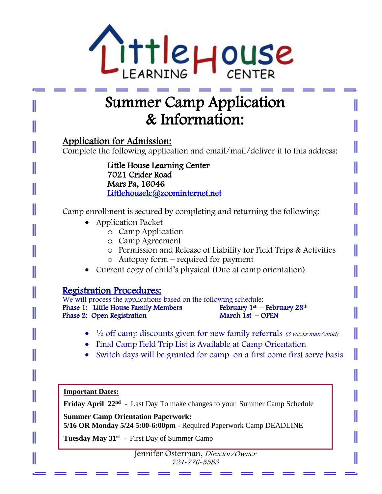

# Summer Camp Application & Information:

Application for Admission:

Complete the following application and email/mail/deliver it to this address:

Little House Learning Center 7021 Crider Road Mars Pa, 16046 [Littlehouselc@zoominternet.net](mailto:Littlehouselc@zoominternet.net) 

Camp enrollment is secured by completing and returning the following:

- Application Packet
	- o Camp Application
	- o Camp Agreement
	- o Permission and Release of Liability for Field Trips & Activities
	- o Autopay form required for payment
- Current copy of child's physical (Due at camp orientation)

# Registration Procedures:

We will process the applications based on the following schedule: Phase 1: Little House Family Members February  $1<sup>st</sup>$  - February 1st - CPEN Phase 2: Open Registration March 1st - OPEN February  $1^{st}$  – February 28<sup>th</sup> Phase 2: Open Registration

- $\frac{1}{2}$  off camp discounts given for new family referrals (3 weeks max/child)
- Final Camp Field Trip List is Available at Camp Orientation
- Switch days will be granted for camp on a first come first serve basis

**Important Dates:**

II

 $\overline{a}$ 

Friday April 22<sup>nd</sup> - Last Day To make changes to your Summer Camp Schedule

**Summer Camp Orientation Paperwork: 5/16 OR Monday 5/24 5:00-6:00pm** - Required Paperwork Camp DEADLINE

 $\frac{1}{1-\epsilon}$ **Tuesday May 31st** - First Day of Summer Camp

Jennifer Osterman, Director/Owner 724-776-5583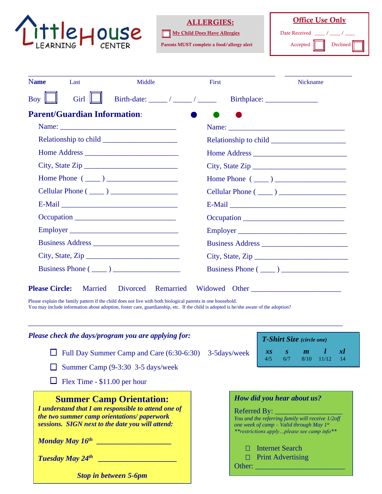

#### ALLERGIES:

My Child Does Have Allergies

Parents MUST complete a food/allergy alert

**Office Use Only** Date Received Accepted Declined

| <b>Name</b> | Last                                | Middle                              | First | Nickname                |
|-------------|-------------------------------------|-------------------------------------|-------|-------------------------|
| <b>Boy</b>  | Girl                                | Birth-date: $\frac{1}{\sqrt{2\pi}}$ |       |                         |
|             | <b>Parent/Guardian Information:</b> |                                     |       |                         |
|             |                                     |                                     |       |                         |
|             |                                     |                                     |       |                         |
|             |                                     |                                     |       |                         |
|             |                                     | City, State Zip                     |       | City, State Zip         |
|             |                                     | Home Phone $(\_\_)$                 |       | Home Phone $(\_\_)$     |
|             |                                     | Cellular Phone $(\_\_)$             |       |                         |
|             |                                     |                                     |       |                         |
|             |                                     |                                     |       |                         |
|             |                                     | Employer                            |       | Employer                |
|             |                                     |                                     |       |                         |
|             |                                     | City, State, $\mathsf{Zip} \_$      |       | City, State, Zip        |
|             |                                     | Business Phone $(\_\_)$             |       | Business Phone $(\_\_)$ |

Please explain the family pattern if the child does not live with both biological parents in one household. You may include information about adoption, foster care, guardianship, etc. If the child is adopted is he/she aware of the adoption?

| Please check the days/program you are applying for:                                                                                                   | <b>T-Shirt Size</b> (circle one) |                                                                                                                                                        |                          |     |                         |              |             |
|-------------------------------------------------------------------------------------------------------------------------------------------------------|----------------------------------|--------------------------------------------------------------------------------------------------------------------------------------------------------|--------------------------|-----|-------------------------|--------------|-------------|
| $\Box$ Full Day Summer Camp and Care (6:30-6:30) 3-5days/week                                                                                         |                                  |                                                                                                                                                        | 4/5                      | 6/7 | $x s \qquad s \qquad m$ | $8/10$ 11/12 | xl<br>$-14$ |
| $\Box$ Summer Camp (9-3:30 3-5 days/week                                                                                                              |                                  |                                                                                                                                                        |                          |     |                         |              |             |
| $\Box$ Flex Time - \$11.00 per hour                                                                                                                   |                                  |                                                                                                                                                        |                          |     |                         |              |             |
| <b>Summer Camp Orientation:</b>                                                                                                                       |                                  | How did you hear about us?                                                                                                                             |                          |     |                         |              |             |
| I understand that I am responsible to attend one of<br>the two summer camp orientations/paperwork<br>sessions. SIGN next to the date you will attend: |                                  | You and the referring family will receive 1/2off<br>one week of camp – Valid through May $I^{st}$<br><i>**restrictions applyplease see camp info**</i> |                          |     |                         |              |             |
| <b>Monday May <math>16^{th}</math></b>                                                                                                                |                                  |                                                                                                                                                        | Internet Search          |     |                         |              |             |
| Tuesday May 24th                                                                                                                                      |                                  |                                                                                                                                                        | <b>Print Advertising</b> |     |                         |              |             |
| <b>Stop in between 5-6pm</b>                                                                                                                          |                                  | Other:                                                                                                                                                 |                          |     |                         |              |             |

\_\_\_\_\_\_\_\_\_\_\_\_\_\_\_\_\_\_\_\_\_\_\_\_\_\_\_\_\_\_\_\_\_\_\_\_\_\_\_\_\_\_\_\_\_\_\_\_\_\_\_\_\_\_\_\_\_\_\_\_\_\_\_\_\_\_\_\_\_\_\_\_\_\_\_\_\_\_\_\_\_\_\_\_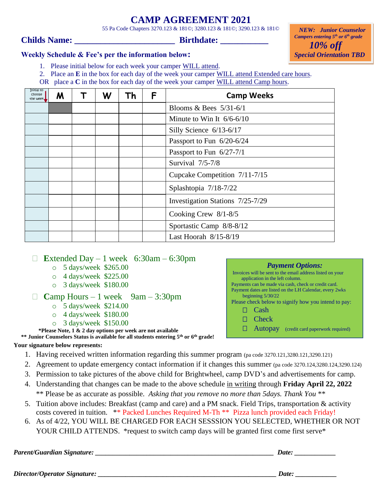# **CAMP AGREEMENT 2021**

55 Pa Code Chapters 3270.123 & 181©; 3280.123 & 181©; 3290.123 & 181©

### **Childs Name: \_\_\_\_\_\_\_\_\_\_\_\_\_\_\_\_\_\_\_\_\_\_\_ Birthdate: \_\_\_\_\_\_\_\_\_\_\_**

 *NEW: Junior Counselor Campers entering 5th or 6th grade 10% off Special Orientation TBD*

#### **Weekly Schedule & Fee's per the information below:**

- 1. Please initial below for each week your camper WILL attend.
- 2. Place an **E** in the box for each day of the week your camper WILL attend Extended care hours.
- OR place a **C** in the box for each day of the week your camper WILL attend Camp hours.

| Initial to<br>choose<br>the week, | M | W | Τh | F | <b>Camp Weeks</b>                |
|-----------------------------------|---|---|----|---|----------------------------------|
|                                   |   |   |    |   | Blooms & Bees $5/31-6/1$         |
|                                   |   |   |    |   | Minute to Win It $6/6-6/10$      |
|                                   |   |   |    |   | Silly Science 6/13-6/17          |
|                                   |   |   |    |   | Passport to Fun 6/20-6/24        |
|                                   |   |   |    |   | Passport to Fun $6/27-7/1$       |
|                                   |   |   |    |   | Survival 7/5-7/8                 |
|                                   |   |   |    |   | Cupcake Competition 7/11-7/15    |
|                                   |   |   |    |   | Splashtopia 7/18-7/22            |
|                                   |   |   |    |   | Investigation Stations 7/25-7/29 |
|                                   |   |   |    |   | Cooking Crew $8/1-8/5$           |
|                                   |   |   |    |   | Sportastic Camp 8/8-8/12         |
|                                   |   |   |    |   | Last Hoorah $8/15-8/19$          |

**Extended Day – 1 week** 6:30am – 6:30pm

- o 5 days/week \$265.00
- o 4 days/week \$225.00
- o 3 days/week \$180.00

```
Camp Hours – 1 week 9am - 3:30pm
```
- o 5 days/week \$214.00
- o 4 days/week \$180.00
- o 3 days/week \$150.00

**\*Please Note, 1 & 2 day options per week are not available**

**\*\* Junior Counselors Status is available for all students entering 5th or 6th grade!** 

#### **Your signature below represents:**

- 1. Having received written information regarding this summer program (pa code 3270.121,3280.121,3290.121)
- 2. Agreement to update emergency contact information if it changes this summer (pa code 3270.124,3280.124,3290.124)
- 3. Permission to take pictures of the above child for Brightwheel, camp DVD's and advertisements for camp.
- 4. Understanding that changes can be made to the above schedule in writing through **Friday April 22, 2022** \*\* Please be as accurate as possible. *Asking that you remove no more than 5days. Thank You* \*\*
- 5. Tuition above includes: Breakfast (camp and care) and a PM snack. Field Trips, transportation & activity costs covered in tuition. \*\* Packed Lunches Required M-Th \*\* Pizza lunch provided each Friday!
- 6. As of 4/22, YOU WILL BE CHARGED FOR EACH SESSSION YOU SELECTED, WHETHER OR NOT YOUR CHILD ATTENDS. \*request to switch camp days will be granted first come first serve\*

*Parent/Guardian Signature: \_\_\_\_\_\_\_\_\_\_\_\_\_\_\_\_\_\_\_\_\_\_\_\_\_\_\_\_\_\_\_\_\_\_\_\_\_\_\_\_\_\_\_\_\_\_\_\_\_\_\_\_ Date: \_\_\_\_\_\_\_\_\_\_\_\_*

| Date: |  |  |
|-------|--|--|
|       |  |  |

*Payment Options:* Invoices will be sent to the email address listed on your

Please check below to signify how you intend to pay:

□ **Autopay** (credit card paperwork required)

Payments can be made via cash, check or credit card. Payment dates are listed on the LH Calendar, every 2wks

application in the left column.

beginning 5/30/22

 $\Box$  Cash □ Check

*Director/Operator Signature: \_\_\_\_\_\_\_\_\_\_\_\_\_\_\_\_\_\_\_\_\_\_\_\_\_\_\_\_\_\_\_\_\_\_\_\_\_\_\_\_\_\_\_\_\_\_\_\_\_\_\_\_ Date: \_\_\_\_\_\_\_\_\_\_\_\_*